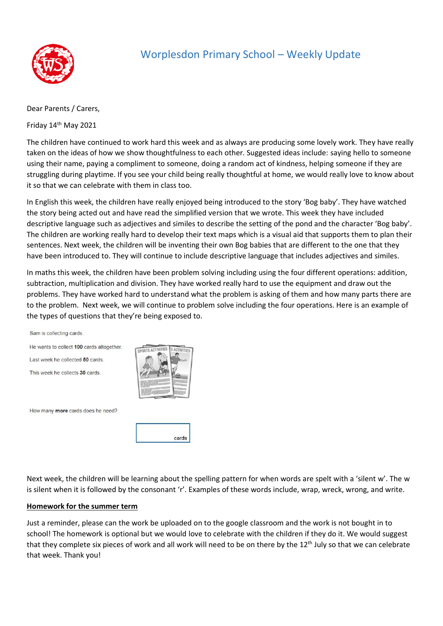

# Worplesdon Primary School – Weekly Update

Dear Parents / Carers,

Friday 14<sup>th</sup> May 2021

The children have continued to work hard this week and as always are producing some lovely work. They have really taken on the ideas of how we show thoughtfulness to each other. Suggested ideas include: saying hello to someone using their name, paying a compliment to someone, doing a random act of kindness, helping someone if they are struggling during playtime. If you see your child being really thoughtful at home, we would really love to know about it so that we can celebrate with them in class too.

In English this week, the children have really enjoyed being introduced to the story 'Bog baby'. They have watched the story being acted out and have read the simplified version that we wrote. This week they have included descriptive language such as adjectives and similes to describe the setting of the pond and the character 'Bog baby'. The children are working really hard to develop their text maps which is a visual aid that supports them to plan their sentences. Next week, the children will be inventing their own Bog babies that are different to the one that they have been introduced to. They will continue to include descriptive language that includes adjectives and similes.

In maths this week, the children have been problem solving including using the four different operations: addition, subtraction, multiplication and division. They have worked really hard to use the equipment and draw out the problems. They have worked hard to understand what the problem is asking of them and how many parts there are to the problem. Next week, we will continue to problem solve including the four operations. Here is an example of the types of questions that they're being exposed to.

Sam is collecting cards.

He wants to collect 100 cards altogether.

Last week he collected 50 cards.

This week he collects 30 cards



How many more cards does he need?

cards

Next week, the children will be learning about the spelling pattern for when words are spelt with a 'silent w'. The w is silent when it is followed by the consonant 'r'. Examples of these words include, wrap, wreck, wrong, and write.

#### **Homework for the summer term**

Just a reminder, please can the work be uploaded on to the google classroom and the work is not bought in to school! The homework is optional but we would love to celebrate with the children if they do it. We would suggest that they complete six pieces of work and all work will need to be on there by the  $12<sup>th</sup>$  July so that we can celebrate that week. Thank you!